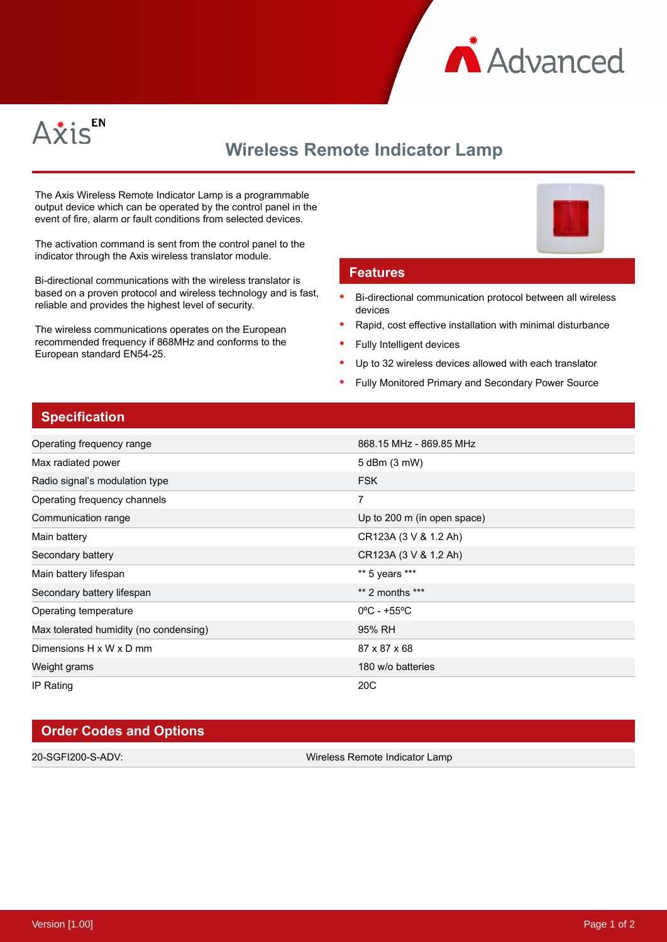



# **Wireless Remote Indicator Lamp**

The Axis Wireless Remote Indicator Lamp is a programmable output device which can be operated by the control panel in the event of fire, alarm or fault conditions from selected devices.

The activation command is sent from the control panel to the indicator through the Axis wireless translator module.

Bi-directional communications with the wireless translator is based on a proven protocol and wireless technology and is fast, reliable and provides the highest level of security.

The wireless communications operates on the European recommended frequency if 868MHz and conforms to the European standard EN54-25.

#### **Features**

- Bi-directional communication protocol between all wireless devices
- Rapid, cost effective installation with minimal disturbance
- Fully Intelligent devices
- Up to 32 wireless devices allowed with each translator
- Fully Monitored Primary and Secondary Power Source

## **Specification**

| Operating frequency range              | 868.15 MHz - 869.85 MHz          |
|----------------------------------------|----------------------------------|
| Max radiated power                     | 5 dBm (3 mW)                     |
| Radio signal's modulation type         | <b>FSK</b>                       |
| Operating frequency channels           | 7                                |
| Communication range                    | Up to 200 m (in open space)      |
| Main battery                           | CR123A (3 V & 1.2 Ah)            |
| Secondary battery                      | CR123A (3 V & 1.2 Ah)            |
| Main battery lifespan                  | ** 5 years ***                   |
| Secondary battery lifespan             | $**$ 2 months $***$              |
| Operating temperature                  | $0^{\circ}$ C - +55 $^{\circ}$ C |
| Max tolerated humidity (no condensing) | 95% RH                           |
| Dimensions H x W x D mm                | 87 x 87 x 68                     |
| Weight grams                           | 180 w/o batteries                |
| IP Rating                              | 20 <sub>C</sub>                  |

## **Order Codes and Options**

20-SGFI200-S-ADV: Wireless Remote Indicator Lamp